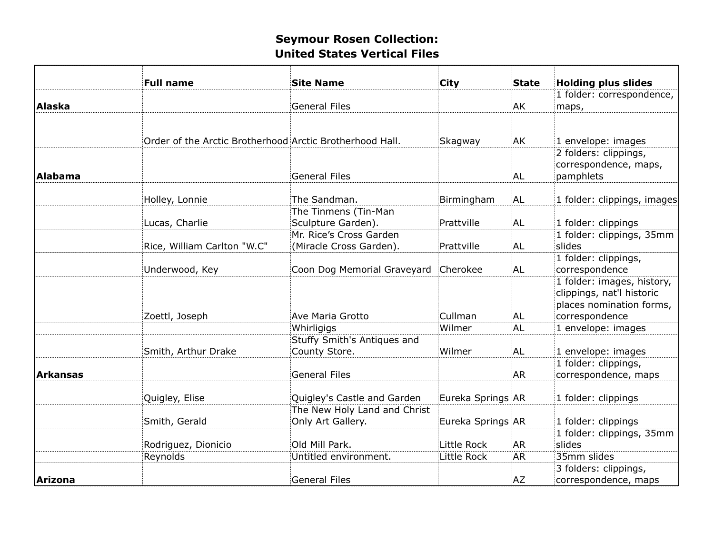|          | <b>Full name</b>                                         | <b>Site Name</b>             | <b>City</b>       | <b>State</b> | <b>Holding plus slides</b>  |
|----------|----------------------------------------------------------|------------------------------|-------------------|--------------|-----------------------------|
|          |                                                          |                              |                   |              | 1 folder: correspondence,   |
| Alaska   |                                                          | <b>General Files</b>         |                   | ΑK           | maps,                       |
|          |                                                          |                              |                   |              |                             |
|          |                                                          |                              |                   |              |                             |
|          | Order of the Arctic Brotherhood Arctic Brotherhood Hall. |                              | Skagway           | ΆK           | 1 envelope: images          |
|          |                                                          |                              |                   |              | 2 folders: clippings,       |
|          |                                                          |                              |                   |              | correspondence, maps,       |
| Alabama  |                                                          | <b>General Files</b>         |                   | AL           | pamphlets                   |
|          |                                                          |                              |                   |              |                             |
|          | Holley, Lonnie                                           | The Sandman.                 | Birmingham        | AL           | 1 folder: clippings, images |
|          |                                                          | The Tinmens (Tin-Man         |                   |              |                             |
|          | Lucas, Charlie                                           | Sculpture Garden).           | Prattville        | AL           | 1 folder: clippings         |
|          |                                                          | Mr. Rice's Cross Garden      |                   |              | 1 folder: clippings, 35mm   |
|          | Rice, William Carlton "W.C"                              | (Miracle Cross Garden).      | Prattville        | AL           | slides                      |
|          |                                                          |                              |                   |              | 1 folder: clippings,        |
|          | Underwood, Key                                           | Coon Dog Memorial Graveyard  | Cherokee          | AL           | correspondence              |
|          |                                                          |                              |                   |              | 1 folder: images, history,  |
|          |                                                          |                              |                   |              | clippings, nat'l historic   |
|          |                                                          |                              |                   |              | places nomination forms,    |
|          | Zoettl, Joseph                                           | Ave Maria Grotto             | Cullman           | AL           | correspondence              |
|          |                                                          | Whirligigs                   | Wilmer            | AL           | 1 envelope: images          |
|          |                                                          | Stuffy Smith's Antiques and  |                   |              |                             |
|          | Smith, Arthur Drake                                      | County Store.                | Wilmer            | AL           | 1 envelope: images          |
|          |                                                          |                              |                   |              | 1 folder: clippings,        |
| Arkansas |                                                          | <b>General Files</b>         |                   | <b>AR</b>    | correspondence, maps        |
|          |                                                          |                              |                   |              |                             |
|          | Quigley, Elise                                           | Quigley's Castle and Garden  | Eureka Springs AR |              | 1 folder: clippings         |
|          |                                                          | The New Holy Land and Christ |                   |              |                             |
|          | Smith, Gerald                                            | Only Art Gallery.            | Eureka Springs AR |              | 1 folder: clippings         |
|          |                                                          |                              |                   |              | 1 folder: clippings, 35mm   |
|          | Rodriguez, Dionicio                                      | Old Mill Park.               | Little Rock       | <b>AR</b>    | slides                      |
|          | Reynolds                                                 | Untitled environment.        | Little Rock       | <b>AR</b>    | 35mm slides                 |
|          |                                                          |                              |                   |              | 3 folders: clippings,       |
| Arizona  |                                                          | <b>General Files</b>         |                   | :AZ          | correspondence, maps        |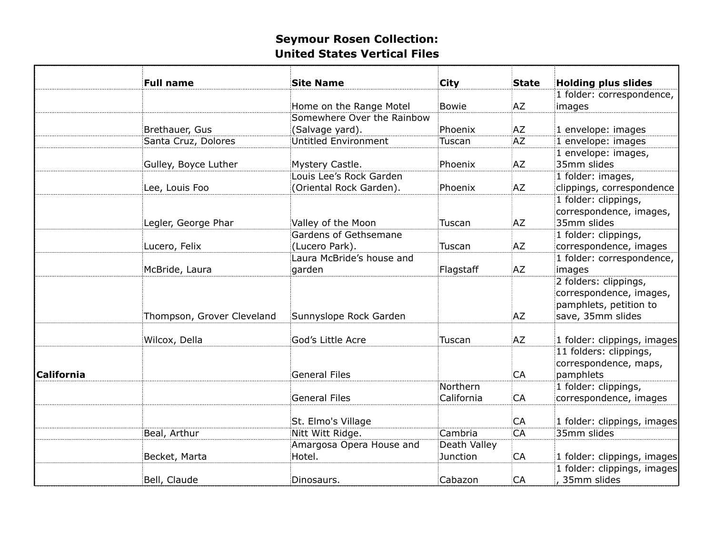|                   | <b>Full name</b>           | <b>Site Name</b>            | City         | <b>State</b> | <b>Holding plus slides</b>  |
|-------------------|----------------------------|-----------------------------|--------------|--------------|-----------------------------|
|                   |                            |                             |              |              | 1 folder: correspondence,   |
|                   |                            | Home on the Range Motel     | Bowie        | :AZ          | images                      |
|                   |                            | Somewhere Over the Rainbow  |              |              |                             |
|                   | Brethauer, Gus             | (Salvage yard).             | Phoenix      | AZ           | 1 envelope: images          |
|                   | Santa Cruz, Dolores        | <b>Untitled Environment</b> | Tuscan       | AZ.          | 1 envelope: images          |
|                   |                            |                             |              |              | 1 envelope: images,         |
|                   | Gulley, Boyce Luther       | Mystery Castle.             | Phoenix      | AZ           | 35mm slides                 |
|                   |                            | Louis Lee's Rock Garden     |              |              | 1 folder: images,           |
|                   | Lee, Louis Foo             | (Oriental Rock Garden).     | Phoenix      | :AZ          | clippings, correspondence   |
|                   |                            |                             |              |              | 1 folder: clippings,        |
|                   |                            |                             |              |              | correspondence, images,     |
|                   | Legler, George Phar        | Valley of the Moon          | Tuscan       | AZ           | 35mm slides                 |
|                   |                            | Gardens of Gethsemane       |              |              | 1 folder: clippings,        |
|                   | Lucero, Felix              | (Lucero Park).              | Tuscan       | :AZ          | correspondence, images      |
|                   |                            | Laura McBride's house and   |              |              | 1 folder: correspondence,   |
|                   | McBride, Laura             | garden                      | Flagstaff    | :AZ          | images                      |
|                   |                            |                             |              |              | 2 folders: clippings,       |
|                   |                            |                             |              |              | correspondence, images,     |
|                   |                            |                             |              |              | pamphlets, petition to      |
|                   | Thompson, Grover Cleveland | Sunnyslope Rock Garden      |              | AZ           | save, 35mm slides           |
|                   |                            |                             |              |              |                             |
|                   | Wilcox, Della              | God's Little Acre           | Tuscan       | AZ           | 1 folder: clippings, images |
|                   |                            |                             |              |              | 11 folders: clippings,      |
|                   |                            |                             |              |              | correspondence, maps,       |
| <b>California</b> |                            | <b>General Files</b>        |              | CA           | pamphlets                   |
|                   |                            |                             | Northern     |              | 1 folder: clippings,        |
|                   |                            | <b>General Files</b>        | California   | CA           | correspondence, images      |
|                   |                            |                             |              |              |                             |
|                   |                            | St. Elmo's Village          |              | CA           | 1 folder: clippings, images |
|                   | Beal, Arthur               | Nitt Witt Ridge.            | Cambria      | CA           | 35mm slides                 |
|                   |                            | Amargosa Opera House and    | Death Valley |              |                             |
|                   | Becket, Marta              | Hotel.                      | Junction     | CA           | 1 folder: clippings, images |
|                   |                            |                             |              |              | 1 folder: clippings, images |
|                   | Bell, Claude               | Dinosaurs.                  | Cabazon      | CA           | 35mm slides                 |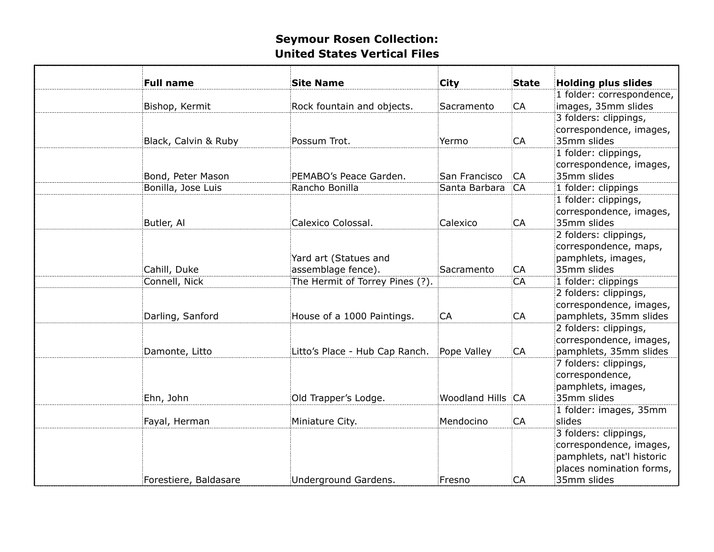| <b>Full name</b>      | <b>Site Name</b>                            | City              | <b>State</b> | <b>Holding plus slides</b>                                                                                               |
|-----------------------|---------------------------------------------|-------------------|--------------|--------------------------------------------------------------------------------------------------------------------------|
|                       |                                             |                   |              | 1 folder: correspondence,                                                                                                |
| Bishop, Kermit        | Rock fountain and objects.                  | Sacramento        | CA           | images, 35mm slides                                                                                                      |
| Black, Calvin & Ruby  | Possum Trot.                                | Yermo             | CA           | 3 folders: clippings,<br>correspondence, images,<br>35mm slides                                                          |
| Bond, Peter Mason     | PEMABO's Peace Garden.                      | San Francisco     | <b>CA</b>    | 1 folder: clippings,<br>correspondence, images,<br>35mm slides                                                           |
| Bonilla, Jose Luis    | Rancho Bonilla                              | Santa Barbara     | <b>CA</b>    | 1 folder: clippings                                                                                                      |
| Butler, Al            | Calexico Colossal.                          | Calexico          | CA           | 1 folder: clippings,<br>correspondence, images,<br>35mm slides                                                           |
| Cahill, Duke          | Yard art (Statues and<br>assemblage fence). | Sacramento        | CA           | 2 folders: clippings,<br>correspondence, maps,<br>pamphlets, images,<br>35mm slides                                      |
| Connell, Nick         | The Hermit of Torrey Pines (?).             |                   | CA           | 1 folder: clippings                                                                                                      |
| Darling, Sanford      | House of a 1000 Paintings.                  | CA                | CA           | 2 folders: clippings,<br>correspondence, images,<br>pamphlets, 35mm slides                                               |
| Damonte, Litto        | Litto's Place - Hub Cap Ranch.              | Pope Valley       | CA           | 2 folders: clippings,<br>correspondence, images,<br>pamphlets, 35mm slides                                               |
| Ehn, John             | Old Trapper's Lodge.                        | Woodland Hills CA |              | 7 folders: clippings,<br>correspondence,<br>pamphlets, images,<br>35mm slides                                            |
| Fayal, Herman         | Miniature City.                             | Mendocino         | CA           | 1 folder: images, 35mm<br>slides                                                                                         |
| Forestiere, Baldasare | Underground Gardens.                        | Fresno            | <b>CA</b>    | 3 folders: clippings,<br>correspondence, images,<br>pamphlets, nat'l historic<br>places nomination forms,<br>35mm slides |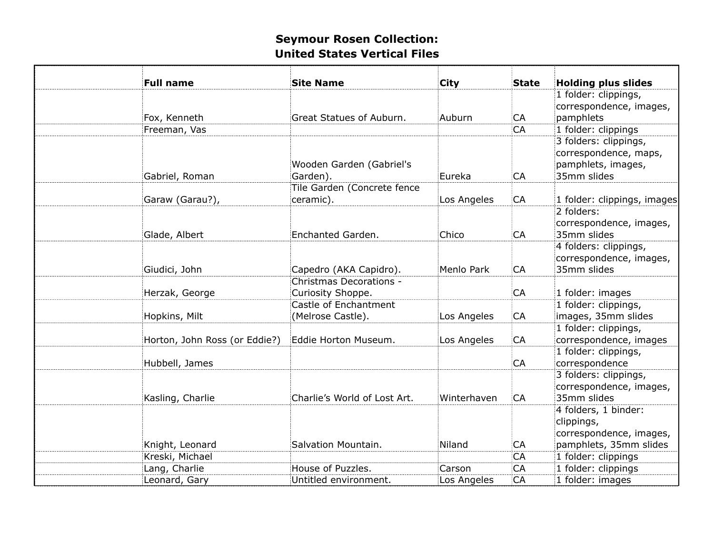| <b>Full name</b>              | <b>Site Name</b>                             | <b>City</b> | <b>State</b> | <b>Holding plus slides</b>                                      |
|-------------------------------|----------------------------------------------|-------------|--------------|-----------------------------------------------------------------|
|                               |                                              |             |              | 1 folder: clippings,<br>correspondence, images,                 |
| Fox, Kenneth                  | Great Statues of Auburn.                     | Auburn      | CA           | pamphlets                                                       |
| Freeman, Vas                  |                                              |             | CA           | 1 folder: clippings                                             |
|                               |                                              |             |              | 3 folders: clippings,                                           |
|                               | Wooden Garden (Gabriel's                     |             |              | correspondence, maps,<br>pamphlets, images,                     |
| Gabriel, Roman                | Garden).                                     | Eureka      | CA           | 35mm slides                                                     |
| Garaw (Garau?),               | Tile Garden (Concrete fence<br>ceramic).     | Los Angeles | CA           | 1 folder: clippings, images                                     |
|                               |                                              |             |              | 2 folders:                                                      |
| Glade, Albert                 | Enchanted Garden.                            | Chico       | CA           | correspondence, images,<br>35mm slides                          |
|                               |                                              |             |              | 4 folders: clippings,<br>correspondence, images,                |
| Giudici, John                 | Capedro (AKA Capidro).                       | Menlo Park  | CA           | 35mm slides                                                     |
| Herzak, George                | Christmas Decorations -<br>Curiosity Shoppe. |             | CA           | 1 folder: images                                                |
|                               | Castle of Enchantment                        |             |              | 1 folder: clippings,                                            |
| Hopkins, Milt                 | (Melrose Castle).                            | Los Angeles | CA           | images, 35mm slides                                             |
|                               |                                              |             |              | 1 folder: clippings,                                            |
| Horton, John Ross (or Eddie?) | Eddie Horton Museum.                         | Los Angeles | CA           | correspondence, images                                          |
| Hubbell, James                |                                              |             | CA           | 1 folder: clippings,<br>correspondence                          |
| Kasling, Charlie              | Charlie's World of Lost Art.                 | Winterhaven | CA           | 3 folders: clippings,<br>correspondence, images,<br>35mm slides |
|                               |                                              |             |              | 4 folders, 1 binder:<br>clippings,<br>correspondence, images,   |
| Knight, Leonard               | Salvation Mountain.                          | Niland      | CA           | pamphlets, 35mm slides                                          |
| Kreski, Michael               |                                              |             | CA           | 1 folder: clippings                                             |
| Lang, Charlie                 | House of Puzzles.                            | Carson      | CA           | 1 folder: clippings                                             |
| Leonard, Gary                 | Untitled environment.                        | Los Angeles | CA           | 1 folder: images                                                |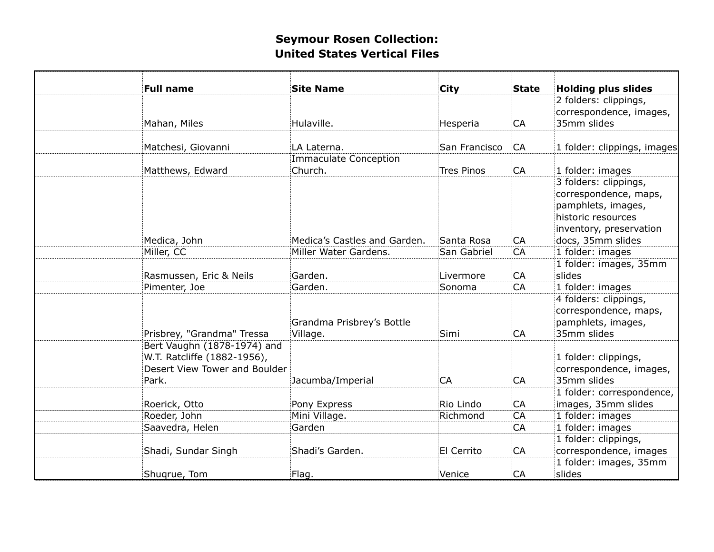| <b>Full name</b>                                                                                     | <b>Site Name</b>                      | City              | <b>State</b> | <b>Holding plus slides</b>                                                                                                                 |
|------------------------------------------------------------------------------------------------------|---------------------------------------|-------------------|--------------|--------------------------------------------------------------------------------------------------------------------------------------------|
|                                                                                                      |                                       |                   |              | 2 folders: clippings,                                                                                                                      |
|                                                                                                      |                                       |                   |              | correspondence, images,                                                                                                                    |
| Mahan, Miles                                                                                         | Hulaville.                            | Hesperia          | CA           | 35mm slides                                                                                                                                |
|                                                                                                      |                                       |                   |              |                                                                                                                                            |
| Matchesi, Giovanni                                                                                   | LA Laterna.                           | San Francisco     | CA           | 1 folder: clippings, images                                                                                                                |
|                                                                                                      | Immaculate Conception                 |                   |              |                                                                                                                                            |
| Matthews, Edward                                                                                     | Church.                               | <b>Tres Pinos</b> | CA           | 1 folder: images                                                                                                                           |
| Medica, John                                                                                         | Medica's Castles and Garden.          | Santa Rosa        | CA           | 3 folders: clippings,<br>correspondence, maps,<br>pamphlets, images,<br>historic resources<br>inventory, preservation<br>docs, 35mm slides |
| Miller, CC                                                                                           | Miller Water Gardens.                 | San Gabriel       | CA           | 1 folder: images                                                                                                                           |
| Rasmussen, Eric & Neils                                                                              | Garden.                               | Livermore         | CA           | 1 folder: images, 35mm<br>slides                                                                                                           |
| Pimenter, Joe                                                                                        | Garden.                               | Sonoma            | CA           | 1 folder: images                                                                                                                           |
| Prisbrey, "Grandma" Tressa                                                                           | Grandma Prisbrey's Bottle<br>Village. | Simi              | CA           | 4 folders: clippings,<br>correspondence, maps,<br>pamphlets, images,<br>35mm slides                                                        |
| Bert Vaughn (1878-1974) and<br>W.T. Ratcliffe (1882-1956),<br>Desert View Tower and Boulder<br>Park. | Jacumba/Imperial                      | CA                | CA           | 1 folder: clippings,<br>correspondence, images,<br>35mm slides                                                                             |
| Roerick, Otto                                                                                        | Pony Express                          | Rio Lindo         | CA           | 1 folder: correspondence,<br>images, 35mm slides                                                                                           |
| Roeder, John                                                                                         | Mini Village.                         | Richmond          | CA           | 1 folder: images                                                                                                                           |
| Saavedra, Helen                                                                                      | Garden                                |                   | CA           | 1 folder: images                                                                                                                           |
|                                                                                                      |                                       |                   |              | 1 folder: clippings,                                                                                                                       |
| Shadi, Sundar Singh                                                                                  | Shadi's Garden.                       | El Cerrito        | CA           | correspondence, images                                                                                                                     |
|                                                                                                      |                                       |                   |              | 1 folder: images, 35mm                                                                                                                     |
| Shuqrue, Tom                                                                                         | Flag.                                 | Venice            | CA           | slides                                                                                                                                     |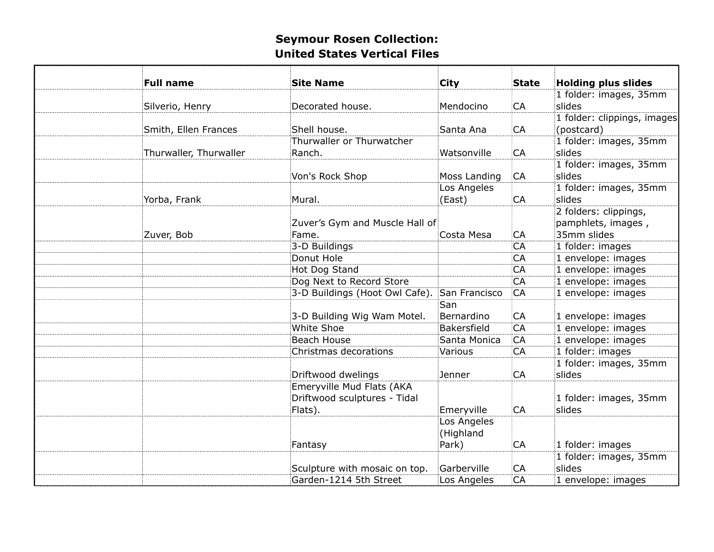| <b>Full name</b>       | <b>Site Name</b>               | <b>City</b>   | State | <b>Holding plus slides</b>       |
|------------------------|--------------------------------|---------------|-------|----------------------------------|
|                        |                                |               |       | 1 folder: images, 35mm<br>slides |
| Silverio, Henry        | Decorated house.               | Mendocino     | CA    |                                  |
|                        | Shell house.                   |               |       | 1 folder: clippings, images      |
| Smith, Ellen Frances   | Thurwaller or Thurwatcher      | Santa Ana     | CA    | (postcard)                       |
|                        |                                |               |       | 1 folder: images, 35mm           |
| Thurwaller, Thurwaller | Ranch.                         | Watsonville   | CA    | slides                           |
|                        |                                |               |       | 1 folder: images, 35mm           |
|                        | Von's Rock Shop                | Moss Landing  | CA    | slides                           |
|                        |                                | Los Angeles   |       | 1 folder: images, 35mm           |
| Yorba, Frank           | Mural.                         | (East)        | CA    | slides                           |
|                        |                                |               |       | 2 folders: clippings,            |
|                        | Zuver's Gym and Muscle Hall of |               |       | pamphlets, images,               |
| Zuver, Bob             | Fame.                          | Costa Mesa    | CA    | 35mm slides                      |
|                        | 3-D Buildings                  |               | CA    | 1 folder: images                 |
|                        | Donut Hole                     |               | CA    | 1 envelope: images               |
|                        | Hot Dog Stand                  |               | CA    | 1 envelope: images               |
|                        | Dog Next to Record Store       |               | CA    | 1 envelope: images               |
|                        | 3-D Buildings (Hoot Owl Cafe). | San Francisco | CA    | 1 envelope: images               |
|                        |                                | San           |       |                                  |
|                        | 3-D Building Wig Wam Motel.    | Bernardino    | CA    | 1 envelope: images               |
|                        | <b>White Shoe</b>              | Bakersfield   | CA    | 1 envelope: images               |
|                        | Beach House                    | Santa Monica  | CA    | 1 envelope: images               |
|                        | Christmas decorations          | Various       | CA    | 1 folder: images                 |
|                        |                                |               |       | 1 folder: images, 35mm           |
|                        | Driftwood dwelings             | Jenner        | CA    | slides                           |
|                        | Emeryville Mud Flats (AKA      |               |       |                                  |
|                        | Driftwood sculptures - Tidal   |               |       | 1 folder: images, 35mm           |
|                        | Flats).                        | Emeryville    | CA    | slides                           |
|                        |                                | Los Angeles   |       |                                  |
|                        |                                | (Highland     |       |                                  |
|                        | Fantasy                        | Park)         | CA    | 1 folder: images                 |
|                        |                                |               |       | 1 folder: images, 35mm           |
|                        | Sculpture with mosaic on top.  | Garberville   | CA    | slides                           |
|                        | Garden-1214 5th Street         | Los Angeles   | CA    | 1 envelope: images               |
|                        |                                |               |       |                                  |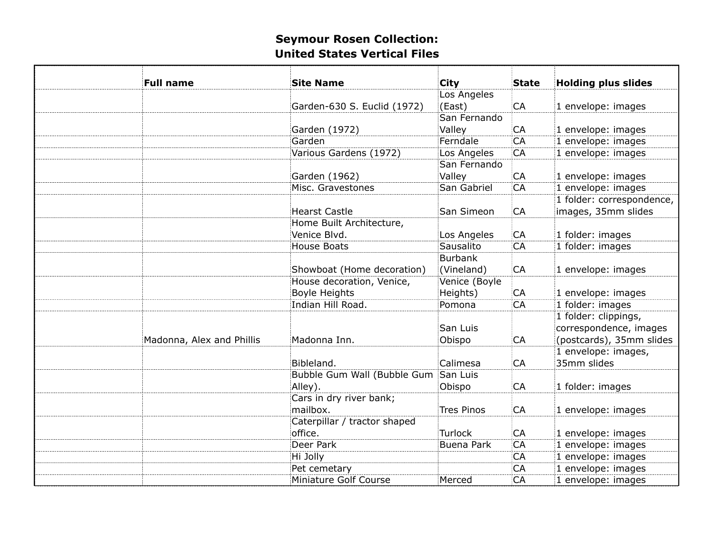| <b>Full name</b>          | <b>Site Name</b>             | <b>City</b>       | <b>State</b> | <b>Holding plus slides</b> |
|---------------------------|------------------------------|-------------------|--------------|----------------------------|
|                           |                              | Los Angeles       |              |                            |
|                           | Garden-630 S. Euclid (1972)  | (East)            | CA           | 1 envelope: images         |
|                           |                              | San Fernando      |              |                            |
|                           | Garden (1972)                | Valley            | CA           | 1 envelope: images         |
|                           | Garden                       | Ferndale          | CA           | 1 envelope: images         |
|                           | Various Gardens (1972)       | Los Angeles       | CA           | 1 envelope: images         |
|                           |                              | San Fernando      |              |                            |
|                           | Garden (1962)                | Valley            | CA           | 1 envelope: images         |
|                           | Misc. Gravestones            | San Gabriel       | CA           | 1 envelope: images         |
|                           |                              |                   |              | 1 folder: correspondence,  |
|                           | <b>Hearst Castle</b>         | San Simeon        | <b>CA</b>    | images, 35mm slides        |
|                           | Home Built Architecture,     |                   |              |                            |
|                           | Venice Blvd.                 | Los Angeles       | CA           | 1 folder: images           |
|                           | <b>House Boats</b>           | Sausalito         | CA           | 1 folder: images           |
|                           |                              | <b>Burbank</b>    |              |                            |
|                           | Showboat (Home decoration)   | (Vineland)        | CA           | 1 envelope: images         |
|                           | House decoration, Venice,    | Venice (Boyle     |              |                            |
|                           | <b>Boyle Heights</b>         | Heights)          | CA           | 1 envelope: images         |
|                           | Indian Hill Road.            | Pomona            | CA           | 1 folder: images           |
|                           |                              |                   |              | 1 folder: clippings,       |
|                           |                              | San Luis          |              | correspondence, images     |
| Madonna, Alex and Phillis | Madonna Inn.                 | Obispo            | CA           | (postcards), 35mm slides   |
|                           |                              |                   |              | 1 envelope: images,        |
|                           | Bibleland.                   | Calimesa          | CA           | 35mm slides                |
|                           | Bubble Gum Wall (Bubble Gum  | San Luis          |              |                            |
|                           |                              |                   | CA           |                            |
|                           | Alley).                      | Obispo            |              | 1 folder: images           |
|                           | Cars in dry river bank;      |                   |              |                            |
|                           | mailbox.                     | <b>Tres Pinos</b> | CA           | 1 envelope: images         |
|                           | Caterpillar / tractor shaped |                   |              |                            |
|                           | office.                      | <b>Turlock</b>    | CA           | 1 envelope: images         |
|                           | Deer Park                    | <b>Buena Park</b> | CA           | 1 envelope: images         |
|                           | Hi Jolly                     |                   | <b>CA</b>    | 1 envelope: images         |
|                           | Pet cemetary                 |                   | CA           | 1 envelope: images         |
|                           | Miniature Golf Course        | Merced            | CA           | 1 envelope: images         |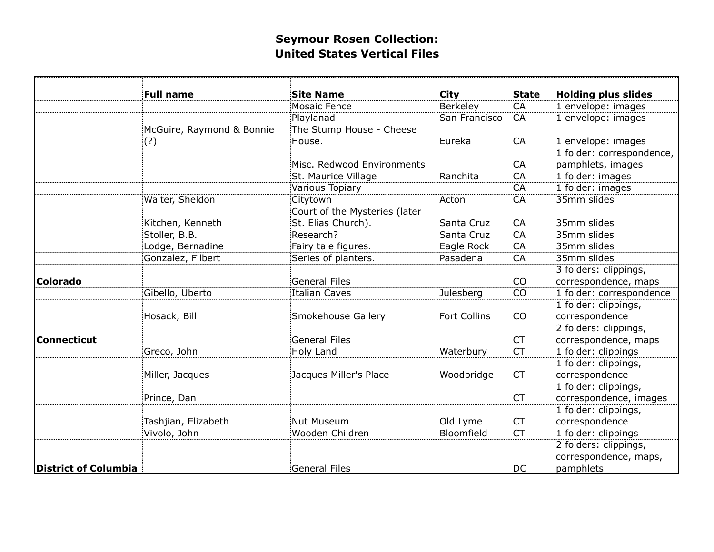|                             | <b>Full name</b>          | <b>Site Name</b>              | <b>City</b>   | <b>State</b> | <b>Holding plus slides</b> |
|-----------------------------|---------------------------|-------------------------------|---------------|--------------|----------------------------|
|                             |                           | Mosaic Fence                  | Berkeley      | CA           | 1 envelope: images         |
|                             |                           | Playlanad                     | San Francisco | CA           | 1 envelope: images         |
|                             | McGuire, Raymond & Bonnie | The Stump House - Cheese      |               |              |                            |
|                             | (?)                       | House.                        | Eureka        | CA           | 1 envelope: images         |
|                             |                           |                               |               |              | 1 folder: correspondence,  |
|                             |                           | Misc. Redwood Environments    |               | CA           | pamphlets, images          |
|                             |                           | St. Maurice Village           | Ranchita      | CA           | 1 folder: images           |
|                             |                           | Various Topiary               |               | CA           | 1 folder: images           |
|                             | Walter, Sheldon           | Citytown                      | Acton         | CA           | 35mm slides                |
|                             |                           | Court of the Mysteries (later |               |              |                            |
|                             | Kitchen, Kenneth          | St. Elias Church).            | Santa Cruz    | CA           | 35mm slides                |
|                             | Stoller, B.B.             | Research?                     | Santa Cruz    | CA           | 35mm slides                |
|                             | Lodge, Bernadine          | Fairy tale figures.           | Eagle Rock    | CA           | 35mm slides                |
|                             | Gonzalez, Filbert         | Series of planters.           | Pasadena      | CA           | 35mm slides                |
|                             |                           |                               |               |              | 3 folders: clippings,      |
| <b>Colorado</b>             |                           | <b>General Files</b>          |               | CO           | correspondence, maps       |
|                             | Gibello, Uberto           | <b>Italian Caves</b>          | Julesberg     | CO           | 1 folder: correspondence   |
|                             |                           |                               |               |              | 1 folder: clippings,       |
|                             | Hosack, Bill              | Smokehouse Gallery            | Fort Collins  | CO           | correspondence             |
|                             |                           |                               |               |              | 2 folders: clippings,      |
| <b>Connecticut</b>          |                           | <b>General Files</b>          |               | CT           | correspondence, maps       |
|                             | Greco, John               | Holy Land                     | Waterbury     | <b>CT</b>    | 1 folder: clippings        |
|                             |                           |                               |               |              | 1 folder: clippings,       |
|                             | Miller, Jacques           | Jacques Miller's Place        | Woodbridge    | <b>CT</b>    | correspondence             |
|                             |                           |                               |               |              | 1 folder: clippings,       |
|                             | Prince, Dan               |                               |               | <b>CT</b>    | correspondence, images     |
|                             |                           |                               |               |              | 1 folder: clippings,       |
|                             | Tashjian, Elizabeth       | Nut Museum                    | Old Lyme      | <b>CT</b>    | correspondence             |
|                             | Vivolo, John              | Wooden Children               | Bloomfield    | <b>CT</b>    | 1 folder: clippings        |
|                             |                           |                               |               |              | 2 folders: clippings,      |
|                             |                           |                               |               |              | correspondence, maps,      |
| <b>District of Columbia</b> |                           | <b>General Files</b>          |               | DC           | pamphlets                  |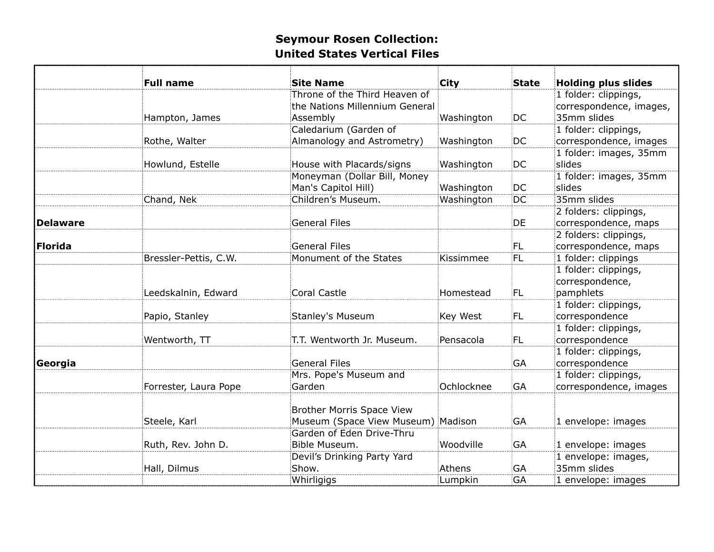|                 | <b>Full name</b>      | <b>Site Name</b><br>Throne of the Third Heaven of | City       | <b>State</b>    | <b>Holding plus slides</b>             |
|-----------------|-----------------------|---------------------------------------------------|------------|-----------------|----------------------------------------|
|                 |                       | the Nations Millennium General                    |            |                 | 1 folder: clippings,                   |
|                 |                       |                                                   |            |                 | correspondence, images,<br>35mm slides |
|                 | Hampton, James        | Assembly                                          | Washington | DC              |                                        |
|                 |                       | Caledarium (Garden of                             |            |                 | 1 folder: clippings,                   |
|                 | Rothe, Walter         | Almanology and Astrometry)                        | Washington | DC              | correspondence, images                 |
|                 |                       |                                                   |            |                 | 1 folder: images, 35mm                 |
|                 | Howlund, Estelle      | House with Placards/signs                         | Washington | DC              | slides                                 |
|                 |                       | Moneyman (Dollar Bill, Money                      |            |                 | 1 folder: images, 35mm                 |
|                 |                       | Man's Capitol Hill)                               | Washington | DC              | slides                                 |
|                 | Chand, Nek            | Children's Museum.                                | Washington | $\overline{DC}$ | 35mm slides                            |
|                 |                       |                                                   |            |                 | 2 folders: clippings,                  |
| <b>Delaware</b> |                       | <b>General Files</b>                              |            | <b>DE</b>       | correspondence, maps                   |
|                 |                       |                                                   |            |                 | 2 folders: clippings,                  |
| <b>Florida</b>  |                       | <b>General Files</b>                              |            | FL.             | correspondence, maps                   |
|                 | Bressler-Pettis, C.W. | Monument of the States                            | Kissimmee  | FL              | 1 folder: clippings                    |
|                 |                       |                                                   |            |                 | 1 folder: clippings,                   |
|                 |                       |                                                   |            |                 | correspondence,                        |
|                 | Leedskalnin, Edward   | <b>Coral Castle</b>                               | Homestead  | FL              | pamphlets                              |
|                 |                       |                                                   |            |                 | 1 folder: clippings,                   |
|                 | Papio, Stanley        | <b>Stanley's Museum</b>                           | Key West   | FL              | correspondence                         |
|                 |                       |                                                   |            |                 | 1 folder: clippings,                   |
|                 | Wentworth, TT         | T.T. Wentworth Jr. Museum.                        | Pensacola  | FL              | correspondence                         |
|                 |                       |                                                   |            |                 | 1 folder: clippings,                   |
| Georgia         |                       | <b>General Files</b>                              |            | <b>GA</b>       | correspondence                         |
|                 |                       | Mrs. Pope's Museum and                            |            |                 | 1 folder: clippings,                   |
|                 | Forrester, Laura Pope | Garden                                            | Ochlocknee | <b>GA</b>       | correspondence, images                 |
|                 |                       |                                                   |            |                 |                                        |
|                 |                       | <b>Brother Morris Space View</b>                  |            |                 |                                        |
|                 | Steele, Karl          | Museum (Space View Museum) Madison                |            | <b>GA</b>       | 1 envelope: images                     |
|                 |                       | Garden of Eden Drive-Thru                         |            |                 |                                        |
|                 | Ruth, Rev. John D.    | Bible Museum.                                     | Woodville  | GA              | 1 envelope: images                     |
|                 |                       | Devil's Drinking Party Yard                       |            |                 | 1 envelope: images,                    |
|                 | Hall, Dilmus          | Show.                                             | Athens     | GA              | 35mm slides                            |
|                 |                       | Whirligigs                                        | Lumpkin    | GA              | 1 envelope: images                     |
|                 |                       |                                                   |            |                 |                                        |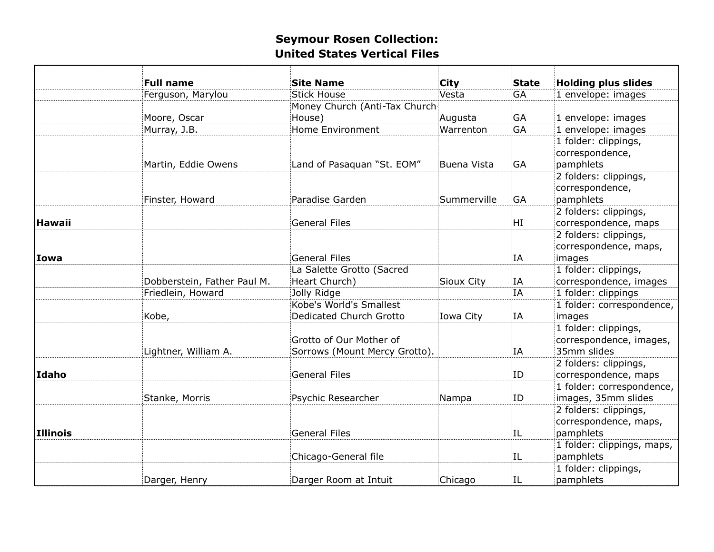|                     |                                                                                                                                                                                               |                                                                                                                                                                                                                                                                                                                             |                                                                                                                   | <b>Holding plus slides</b>                                          |
|---------------------|-----------------------------------------------------------------------------------------------------------------------------------------------------------------------------------------------|-----------------------------------------------------------------------------------------------------------------------------------------------------------------------------------------------------------------------------------------------------------------------------------------------------------------------------|-------------------------------------------------------------------------------------------------------------------|---------------------------------------------------------------------|
|                     |                                                                                                                                                                                               |                                                                                                                                                                                                                                                                                                                             |                                                                                                                   | 1 envelope: images                                                  |
|                     |                                                                                                                                                                                               |                                                                                                                                                                                                                                                                                                                             |                                                                                                                   |                                                                     |
|                     |                                                                                                                                                                                               | Augusta                                                                                                                                                                                                                                                                                                                     |                                                                                                                   | 1 envelope: images                                                  |
|                     |                                                                                                                                                                                               |                                                                                                                                                                                                                                                                                                                             |                                                                                                                   | 1 envelope: images                                                  |
|                     |                                                                                                                                                                                               |                                                                                                                                                                                                                                                                                                                             |                                                                                                                   | 1 folder: clippings,                                                |
|                     |                                                                                                                                                                                               |                                                                                                                                                                                                                                                                                                                             |                                                                                                                   | correspondence,                                                     |
| Martin, Eddie Owens | Land of Pasaquan "St. EOM"                                                                                                                                                                    | Buena Vista                                                                                                                                                                                                                                                                                                                 | GA                                                                                                                | pamphlets                                                           |
|                     |                                                                                                                                                                                               |                                                                                                                                                                                                                                                                                                                             |                                                                                                                   | 2 folders: clippings,                                               |
|                     |                                                                                                                                                                                               |                                                                                                                                                                                                                                                                                                                             |                                                                                                                   | correspondence,                                                     |
| Finster, Howard     | Paradise Garden                                                                                                                                                                               | Summerville                                                                                                                                                                                                                                                                                                                 | GA                                                                                                                | pamphlets                                                           |
|                     |                                                                                                                                                                                               |                                                                                                                                                                                                                                                                                                                             |                                                                                                                   | 2 folders: clippings,                                               |
|                     | <b>General Files</b>                                                                                                                                                                          |                                                                                                                                                                                                                                                                                                                             | HI                                                                                                                | correspondence, maps                                                |
|                     |                                                                                                                                                                                               |                                                                                                                                                                                                                                                                                                                             |                                                                                                                   | 2 folders: clippings,                                               |
|                     |                                                                                                                                                                                               |                                                                                                                                                                                                                                                                                                                             |                                                                                                                   | correspondence, maps,                                               |
|                     | <b>General Files</b>                                                                                                                                                                          |                                                                                                                                                                                                                                                                                                                             | ΙA                                                                                                                | images                                                              |
|                     |                                                                                                                                                                                               |                                                                                                                                                                                                                                                                                                                             |                                                                                                                   | 1 folder: clippings,                                                |
|                     |                                                                                                                                                                                               |                                                                                                                                                                                                                                                                                                                             |                                                                                                                   | correspondence, images                                              |
|                     |                                                                                                                                                                                               |                                                                                                                                                                                                                                                                                                                             | ΪA                                                                                                                | 1 folder: clippings                                                 |
|                     | Kobe's World's Smallest                                                                                                                                                                       |                                                                                                                                                                                                                                                                                                                             |                                                                                                                   | 1 folder: correspondence,                                           |
|                     |                                                                                                                                                                                               |                                                                                                                                                                                                                                                                                                                             |                                                                                                                   | images                                                              |
|                     |                                                                                                                                                                                               |                                                                                                                                                                                                                                                                                                                             |                                                                                                                   | 1 folder: clippings,                                                |
|                     | Grotto of Our Mother of                                                                                                                                                                       |                                                                                                                                                                                                                                                                                                                             |                                                                                                                   | correspondence, images,                                             |
|                     |                                                                                                                                                                                               |                                                                                                                                                                                                                                                                                                                             | ΙA                                                                                                                | 35mm slides                                                         |
|                     |                                                                                                                                                                                               |                                                                                                                                                                                                                                                                                                                             |                                                                                                                   | 2 folders: clippings,                                               |
|                     |                                                                                                                                                                                               |                                                                                                                                                                                                                                                                                                                             |                                                                                                                   | correspondence, maps                                                |
|                     |                                                                                                                                                                                               |                                                                                                                                                                                                                                                                                                                             |                                                                                                                   | 1 folder: correspondence,                                           |
|                     |                                                                                                                                                                                               |                                                                                                                                                                                                                                                                                                                             |                                                                                                                   | images, 35mm slides                                                 |
|                     |                                                                                                                                                                                               |                                                                                                                                                                                                                                                                                                                             |                                                                                                                   | 2 folders: clippings,                                               |
|                     |                                                                                                                                                                                               |                                                                                                                                                                                                                                                                                                                             |                                                                                                                   | correspondence, maps,                                               |
|                     |                                                                                                                                                                                               |                                                                                                                                                                                                                                                                                                                             |                                                                                                                   | pamphlets                                                           |
|                     |                                                                                                                                                                                               |                                                                                                                                                                                                                                                                                                                             |                                                                                                                   | 1 folder: clippings, maps,                                          |
|                     |                                                                                                                                                                                               |                                                                                                                                                                                                                                                                                                                             | ΠL                                                                                                                | pamphlets                                                           |
|                     |                                                                                                                                                                                               |                                                                                                                                                                                                                                                                                                                             |                                                                                                                   | 1 folder: clippings,                                                |
|                     |                                                                                                                                                                                               |                                                                                                                                                                                                                                                                                                                             | ÌЦ                                                                                                                | pamphlets                                                           |
|                     | <b>Full name</b><br>Ferguson, Marylou<br>Moore, Oscar<br>Murray, J.B.<br>Dobberstein, Father Paul M.<br>Friedlein, Howard<br>Kobe,<br>Lightner, William A.<br>Stanke, Morris<br>Darger, Henry | <b>Site Name</b><br><b>Stick House</b><br>House)<br>Home Environment<br>La Salette Grotto (Sacred<br>Heart Church)<br>Jolly Ridge<br><b>Dedicated Church Grotto</b><br>Sorrows (Mount Mercy Grotto).<br><b>General Files</b><br>Psychic Researcher<br><b>General Files</b><br>Chicago-General file<br>Darger Room at Intuit | <b>City</b><br>Vesta<br>Money Church (Anti-Tax Church<br>Warrenton<br>Sioux City<br>Iowa City<br>Nampa<br>Chicago | <b>State</b><br>GA<br>GA<br><b>GA</b><br>ΙA<br>ĮΑ<br>ID<br>ID<br>ΠL |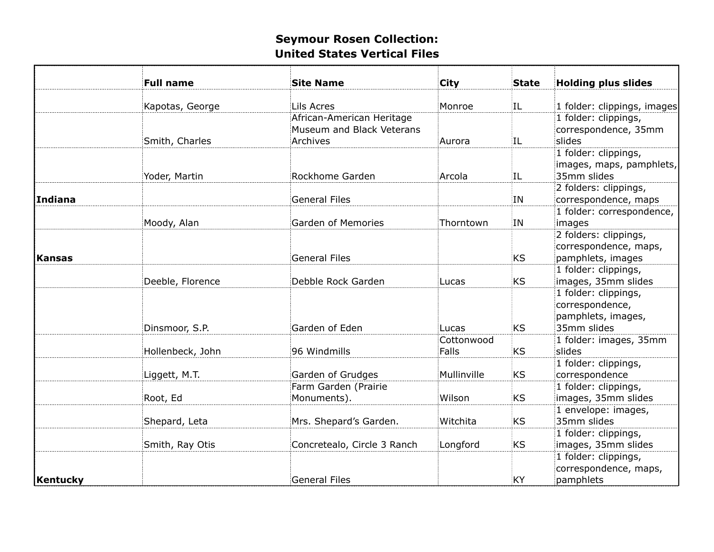|               | <b>Full name</b> | <b>Site Name</b>                                                   | City                | <b>State</b> | <b>Holding plus slides</b>                                                   |
|---------------|------------------|--------------------------------------------------------------------|---------------------|--------------|------------------------------------------------------------------------------|
|               | Kapotas, George  | Lils Acres                                                         | Monroe              | IL.          | 1 folder: clippings, images                                                  |
|               | Smith, Charles   | African-American Heritage<br>Museum and Black Veterans<br>Archives | Aurora              | ΠL           | 1 folder: clippings,<br>correspondence, 35mm<br>slides                       |
|               | Yoder, Martin    | Rockhome Garden                                                    | Arcola              | IL           | 1 folder: clippings,<br>images, maps, pamphlets,<br>35mm slides              |
| Indiana       |                  | <b>General Files</b>                                               |                     | ΙN           | 2 folders: clippings,<br>correspondence, maps                                |
|               | Moody, Alan      | Garden of Memories                                                 | Thorntown           | ĮΝ           | 1 folder: correspondence,<br>images<br>2 folders: clippings,                 |
| <b>Kansas</b> |                  | <b>General Files</b>                                               |                     | <b>KS</b>    | correspondence, maps,<br>pamphlets, images                                   |
|               | Deeble, Florence | Debble Rock Garden                                                 | Lucas               | KS           | 1 folder: clippings,<br>images, 35mm slides                                  |
|               | Dinsmoor, S.P.   | Garden of Eden                                                     | Lucas               | <b>KS</b>    | 1 folder: clippings,<br>correspondence,<br>pamphlets, images,<br>35mm slides |
|               | Hollenbeck, John | 96 Windmills                                                       | Cottonwood<br>Falls | <b>KS</b>    | 1 folder: images, 35mm<br>slides                                             |
|               | Liggett, M.T.    | Garden of Grudges                                                  | Mullinville         | <b>KS</b>    | 1 folder: clippings,<br>correspondence                                       |
|               | Root, Ed         | Farm Garden (Prairie<br>Monuments).                                | Wilson              | <b>KS</b>    | 1 folder: clippings,<br>images, 35mm slides                                  |
|               | Shepard, Leta    | Mrs. Shepard's Garden.                                             | Witchita            | <b>KS</b>    | 1 envelope: images,<br>35mm slides                                           |
|               | Smith, Ray Otis  | Concretealo, Circle 3 Ranch                                        | Longford            | <b>KS</b>    | 1 folder: clippings,<br>images, 35mm slides                                  |
| Kentucky      |                  | <b>General Files</b>                                               |                     | KY           | 1 folder: clippings,<br>correspondence, maps,<br>pamphlets                   |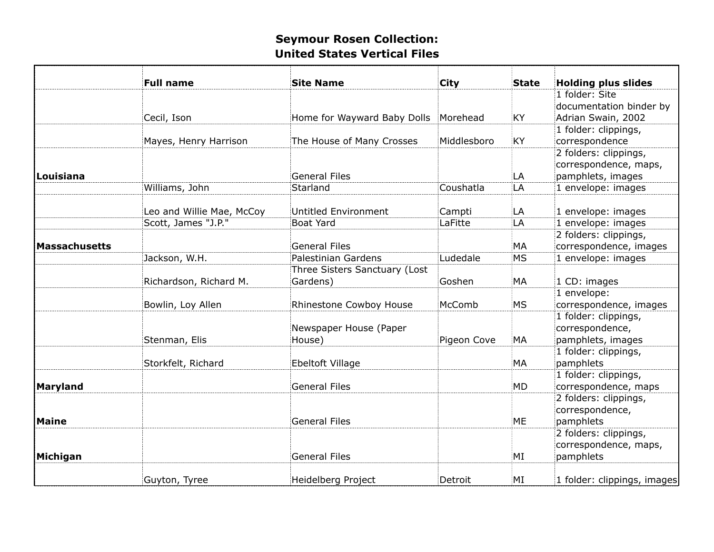|               | <b>Full name</b>          | <b>Site Name</b>              | City        | <b>State</b> | <b>Holding plus slides</b>  |
|---------------|---------------------------|-------------------------------|-------------|--------------|-----------------------------|
|               |                           |                               |             |              | 1 folder: Site              |
|               |                           |                               |             |              | documentation binder by     |
|               | Cecil, Ison               | Home for Wayward Baby Dolls   | Morehead    | KY           | Adrian Swain, 2002          |
|               |                           |                               |             |              | 1 folder: clippings,        |
|               | Mayes, Henry Harrison     | The House of Many Crosses     | Middlesboro | <b>KY</b>    | correspondence              |
|               |                           |                               |             |              | 2 folders: clippings,       |
|               |                           |                               |             |              | correspondence, maps,       |
| Louisiana     |                           | <b>General Files</b>          |             | LA           | pamphlets, images           |
|               | Williams, John            | Starland                      | Coushatla   | LA           | 1 envelope: images          |
|               | Leo and Willie Mae, McCoy | <b>Untitled Environment</b>   | Campti      | LA           | 1 envelope: images          |
|               | Scott, James "J.P."       | <b>Boat Yard</b>              | LaFitte     | LA           | 1 envelope: images          |
|               |                           |                               |             |              | 2 folders: clippings,       |
| Massachusetts |                           | <b>General Files</b>          |             | MA           | correspondence, images      |
|               | Jackson, W.H.             | Palestinian Gardens           | Ludedale    | <b>MS</b>    | 1 envelope: images          |
|               |                           | Three Sisters Sanctuary (Lost |             |              |                             |
|               | Richardson, Richard M.    | Gardens)                      | Goshen      | МA           | 1 CD: images                |
|               |                           |                               |             |              | 1 envelope:                 |
|               | Bowlin, Loy Allen         | Rhinestone Cowboy House       | McComb      | MS           | correspondence, images      |
|               |                           |                               |             |              | 1 folder: clippings,        |
|               |                           | Newspaper House (Paper        |             |              | correspondence,             |
|               | Stenman, Elis             | House)                        | Pigeon Cove | MA           | pamphlets, images           |
|               |                           |                               |             |              | 1 folder: clippings,        |
|               | Storkfelt, Richard        | Ebeltoft Village              |             | MA           | pamphlets                   |
|               |                           |                               |             |              | 1 folder: clippings,        |
| Maryland      |                           | <b>General Files</b>          |             | <b>MD</b>    | correspondence, maps        |
|               |                           |                               |             |              | 2 folders: clippings,       |
|               |                           |                               |             |              | correspondence,             |
| Maine         |                           | <b>General Files</b>          |             | ME           | pamphlets                   |
|               |                           |                               |             |              | 2 folders: clippings,       |
|               |                           |                               |             |              | correspondence, maps,       |
| Michigan      |                           | <b>General Files</b>          |             | MI           | pamphlets                   |
|               | Guyton, Tyree             | Heidelberg Project            | Detroit     | MI           | 1 folder: clippings, images |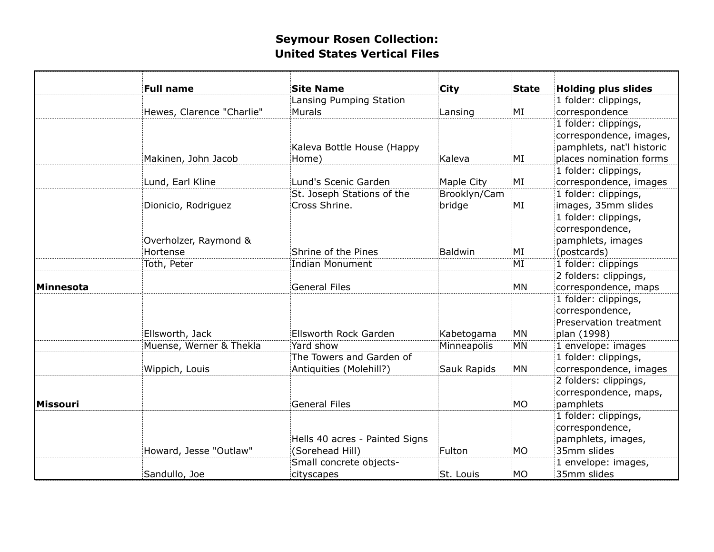|                 | <b>Full name</b>          | <b>Site Name</b>               | <b>City</b>    | <b>State</b> | <b>Holding plus slides</b> |
|-----------------|---------------------------|--------------------------------|----------------|--------------|----------------------------|
|                 |                           | Lansing Pumping Station        |                |              | 1 folder: clippings,       |
|                 | Hewes, Clarence "Charlie" | <b>Murals</b>                  | Lansing        | ΜI           | correspondence             |
|                 |                           |                                |                |              | 1 folder: clippings,       |
|                 |                           |                                |                |              | correspondence, images,    |
|                 |                           | Kaleva Bottle House (Happy     |                |              | pamphlets, nat'l historic  |
|                 | Makinen, John Jacob       | Home)                          | Kaleva         | ΜI           | places nomination forms    |
|                 |                           |                                |                |              | 1 folder: clippings,       |
|                 | Lund, Earl Kline          | Lund's Scenic Garden           | Maple City     | MI           | correspondence, images     |
|                 |                           | St. Joseph Stations of the     | Brooklyn/Cam   |              | 1 folder: clippings,       |
|                 | Dionicio, Rodriguez       | Cross Shrine.                  | bridge         | MI           | images, 35mm slides        |
|                 |                           |                                |                |              | 1 folder: clippings,       |
|                 |                           |                                |                |              | correspondence,            |
|                 | Overholzer, Raymond &     |                                |                |              | pamphlets, images          |
|                 | Hortense                  | Shrine of the Pines            | <b>Baldwin</b> | MI           | (postcards)                |
|                 | Toth, Peter               | <b>Indian Monument</b>         |                | MI           | 1 folder: clippings        |
|                 |                           |                                |                |              | 2 folders: clippings,      |
| Minnesota       |                           | <b>General Files</b>           |                | MN           | correspondence, maps       |
|                 |                           |                                |                |              | 1 folder: clippings,       |
|                 |                           |                                |                |              | correspondence,            |
|                 |                           |                                |                |              | Preservation treatment     |
|                 | Ellsworth, Jack           | Ellsworth Rock Garden          | Kabetogama     | MN           | plan (1998)                |
|                 | Muense, Werner & Thekla   | Yard show                      | Minneapolis    | MN           | 1 envelope: images         |
|                 |                           | The Towers and Garden of       |                |              | 1 folder: clippings,       |
|                 | Wippich, Louis            | Antiquities (Molehill?)        | Sauk Rapids    | MN           | correspondence, images     |
|                 |                           |                                |                |              | 2 folders: clippings,      |
|                 |                           |                                |                |              | correspondence, maps,      |
| <b>Missouri</b> |                           | <b>General Files</b>           |                | MO           | pamphlets                  |
|                 |                           |                                |                |              | 1 folder: clippings,       |
|                 |                           |                                |                |              | correspondence,            |
|                 |                           | Hells 40 acres - Painted Signs |                |              | pamphlets, images,         |
|                 | Howard, Jesse "Outlaw"    | (Sorehead Hill)                | Fulton         | МO           | 35mm slides                |
|                 |                           | Small concrete objects-        |                |              | 1 envelope: images,        |
|                 | Sandullo, Joe             | cityscapes                     | St. Louis      | <b>MO</b>    | 35mm slides                |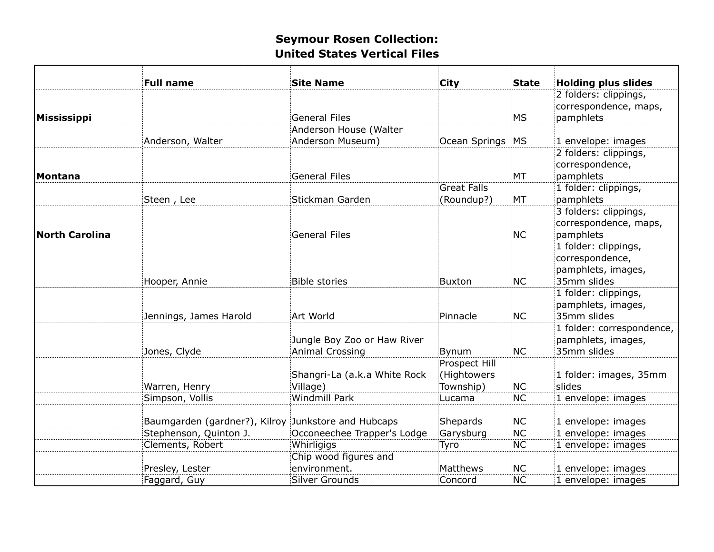|                       | <b>Full name</b>                                    | <b>Site Name</b>                                      | City                                             | <b>State</b> | <b>Holding plus slides</b>                                                   |
|-----------------------|-----------------------------------------------------|-------------------------------------------------------|--------------------------------------------------|--------------|------------------------------------------------------------------------------|
| Mississippi           |                                                     | <b>General Files</b>                                  |                                                  | MS           | 2 folders: clippings,<br>correspondence, maps,<br>pamphlets                  |
|                       |                                                     | Anderson House (Walter                                |                                                  |              |                                                                              |
|                       | Anderson, Walter                                    | Anderson Museum)                                      | Ocean Springs MS                                 |              | 1 envelope: images                                                           |
| Montana               |                                                     | <b>General Files</b>                                  |                                                  | MT           | 2 folders: clippings,<br>correspondence,<br>pamphlets                        |
|                       |                                                     |                                                       | <b>Great Falls</b>                               |              | 1 folder: clippings,                                                         |
|                       | Steen, Lee                                          | Stickman Garden                                       | (Roundup?)                                       | MT           | pamphlets                                                                    |
| <b>North Carolina</b> |                                                     | <b>General Files</b>                                  |                                                  | NC.          | 3 folders: clippings,<br>correspondence, maps,<br>pamphlets                  |
|                       | Hooper, Annie                                       | <b>Bible stories</b>                                  | Buxton                                           | NC.          | 1 folder: clippings,<br>correspondence,<br>pamphlets, images,<br>35mm slides |
|                       | Jennings, James Harold                              | Art World                                             | Pinnacle                                         | NC.          | 1 folder: clippings,<br>pamphlets, images,<br>35mm slides                    |
|                       | Jones, Clyde                                        | Jungle Boy Zoo or Haw River<br><b>Animal Crossing</b> | Bynum                                            | <b>NC</b>    | 1 folder: correspondence,<br>pamphlets, images,<br>35mm slides               |
|                       | Warren, Henry                                       | Shangri-La (a.k.a White Rock<br>Village)              | <b>Prospect Hill</b><br>(Hightowers<br>Township) | NC           | 1 folder: images, 35mm<br>slides                                             |
|                       | Simpson, Vollis                                     | <b>Windmill Park</b>                                  | Lucama                                           | NC.          | 1 envelope: images                                                           |
|                       | Baumgarden (gardner?), Kilroy Junkstore and Hubcaps |                                                       | Shepards                                         | NC           | 1 envelope: images                                                           |
|                       | Stephenson, Quinton J.                              | Occoneechee Trapper's Lodge                           | Garysburg                                        | NC.          | 1 envelope: images                                                           |
|                       | Clements, Robert                                    | Whirligigs                                            | Tyro                                             | NC.          | 1 envelope: images                                                           |
|                       | Presley, Lester                                     | Chip wood figures and<br>environment.                 | Matthews                                         | NC.          | 1 envelope: images                                                           |
|                       | Faggard, Guy                                        | Silver Grounds                                        | Concord                                          | NC:          | 1 envelope: images                                                           |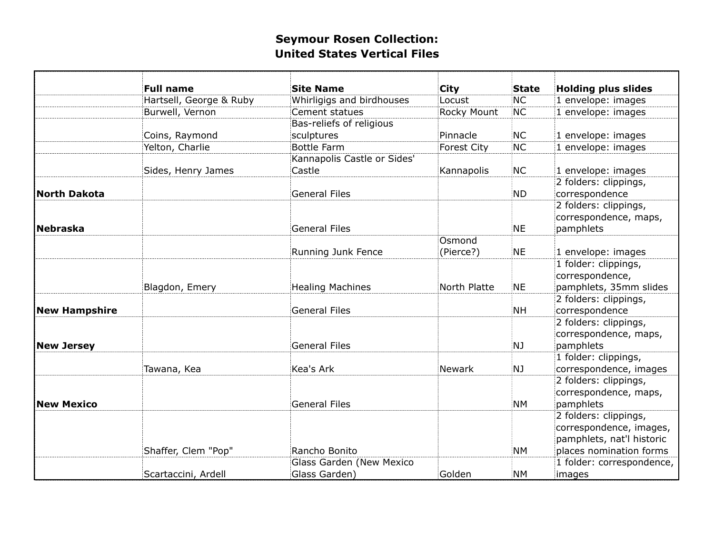|                      | <b>Full name</b>        | <b>Site Name</b>            | <b>City</b>        | State           | <b>Holding plus slides</b>                                                                               |
|----------------------|-------------------------|-----------------------------|--------------------|-----------------|----------------------------------------------------------------------------------------------------------|
|                      | Hartsell, George & Ruby | Whirligigs and birdhouses   | Locust             | <b>NC</b>       | 1 envelope: images                                                                                       |
|                      | Burwell, Vernon         | Cement statues              | Rocky Mount        | NC.             | 1 envelope: images                                                                                       |
|                      |                         | Bas-reliefs of religious    |                    |                 |                                                                                                          |
|                      | Coins, Raymond          | sculptures                  | Pinnacle           | <b>NC</b>       | 1 envelope: images                                                                                       |
|                      | Yelton, Charlie         | <b>Bottle Farm</b>          | <b>Forest City</b> | NC.             | 1 envelope: images                                                                                       |
|                      |                         | Kannapolis Castle or Sides' |                    |                 |                                                                                                          |
|                      | Sides, Henry James      | Castle                      | Kannapolis         | NC:             | 1 envelope: images                                                                                       |
| <b>North Dakota</b>  |                         | <b>General Files</b>        |                    | <b>ND</b>       | 2 folders: clippings,<br>correspondence                                                                  |
| Nebraska             |                         | <b>General Files</b>        |                    | <b>NE</b>       | 2 folders: clippings,<br>correspondence, maps,<br>pamphlets                                              |
|                      |                         |                             | Osmond             |                 |                                                                                                          |
|                      |                         | Running Junk Fence          | (Pierce?)          | NE              | 1 envelope: images                                                                                       |
|                      | Blagdon, Emery          | <b>Healing Machines</b>     | North Platte       | NE.             | 1 folder: clippings,<br>correspondence,<br>pamphlets, 35mm slides                                        |
| <b>New Hampshire</b> |                         | <b>General Files</b>        |                    | <b>NH</b>       | 2 folders: clippings,<br>correspondence                                                                  |
| <b>New Jersey</b>    |                         | <b>General Files</b>        |                    | NJ              | 2 folders: clippings,<br>correspondence, maps,<br>pamphlets                                              |
|                      |                         | Kea's Ark                   |                    |                 | 1 folder: clippings,                                                                                     |
| <b>New Mexico</b>    | Tawana, Kea             | <b>General Files</b>        | <b>Newark</b>      | NJ<br><b>NM</b> | correspondence, images<br>2 folders: clippings,<br>correspondence, maps,<br>pamphlets                    |
|                      | Shaffer, Clem "Pop"     | Rancho Bonito               |                    | <b>NM</b>       | 2 folders: clippings,<br>correspondence, images,<br>pamphlets, nat'l historic<br>places nomination forms |
|                      |                         | Glass Garden (New Mexico    |                    |                 | 1 folder: correspondence,                                                                                |
|                      | Scartaccini, Ardell     | Glass Garden)               | Golden             | <b>NM</b>       | images                                                                                                   |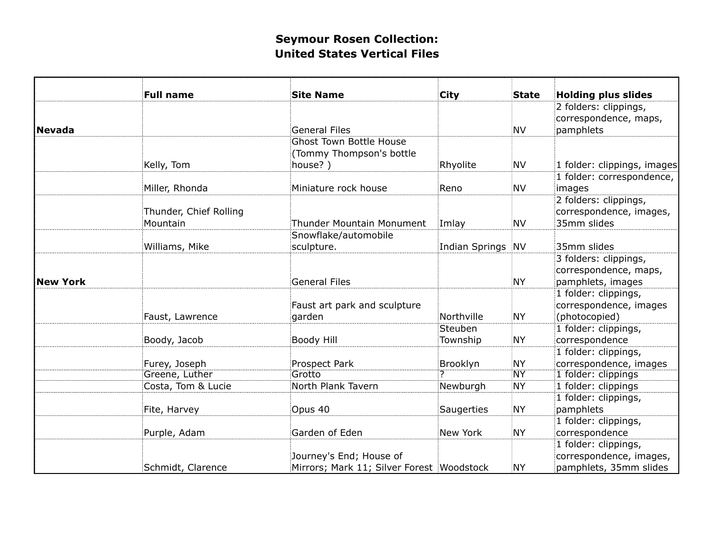|                 | <b>Full name</b>       | <b>Site Name</b>                          | City              | <b>State</b> | <b>Holding plus slides</b>  |
|-----------------|------------------------|-------------------------------------------|-------------------|--------------|-----------------------------|
|                 |                        |                                           |                   |              | 2 folders: clippings,       |
|                 |                        |                                           |                   |              | correspondence, maps,       |
| <b>Nevada</b>   |                        | <b>General Files</b>                      |                   | <b>NV</b>    | pamphlets                   |
|                 |                        | <b>Ghost Town Bottle House</b>            |                   |              |                             |
|                 |                        | (Tommy Thompson's bottle                  |                   |              |                             |
|                 | Kelly, Tom             | house?)                                   | Rhyolite          | <b>NV</b>    | 1 folder: clippings, images |
|                 |                        |                                           |                   |              | 1 folder: correspondence,   |
|                 | Miller, Rhonda         | Miniature rock house                      | Reno              | <b>NV</b>    | images                      |
|                 |                        |                                           |                   |              | 2 folders: clippings,       |
|                 | Thunder, Chief Rolling |                                           |                   |              | correspondence, images,     |
|                 | Mountain               | <b>Thunder Mountain Monument</b>          | Imlay             | <b>NV</b>    | 35mm slides                 |
|                 |                        | Snowflake/automobile                      |                   |              |                             |
|                 | Williams, Mike         | sculpture.                                | Indian Springs NV |              | 35mm slides                 |
|                 |                        |                                           |                   |              | 3 folders: clippings,       |
|                 |                        |                                           |                   |              | correspondence, maps,       |
| <b>New York</b> |                        | <b>General Files</b>                      |                   | <b>NY</b>    | pamphlets, images           |
|                 |                        |                                           |                   |              | 1 folder: clippings,        |
|                 |                        | Faust art park and sculpture              |                   |              | correspondence, images      |
|                 | Faust, Lawrence        | garden                                    | Northville        | NY           | (photocopied)               |
|                 |                        |                                           | Steuben           |              | 1 folder: clippings,        |
|                 | Boody, Jacob           | Boody Hill                                | Township          | <b>NY</b>    | correspondence              |
|                 |                        |                                           |                   |              | 1 folder: clippings,        |
|                 | Furey, Joseph          | Prospect Park                             | Brooklyn          | <b>NY</b>    | correspondence, images      |
|                 | Greene, Luther         | Grotto                                    |                   | <b>NY</b>    | 1 folder: clippings         |
|                 | Costa, Tom & Lucie     | North Plank Tavern                        | Newburgh          | NY)          | 1 folder: clippings         |
|                 |                        |                                           |                   |              | 1 folder: clippings,        |
|                 | Fite, Harvey           | Opus 40                                   | <b>Saugerties</b> | <b>NY</b>    | pamphlets                   |
|                 |                        |                                           |                   |              | 1 folder: clippings,        |
|                 | Purple, Adam           | Garden of Eden                            | New York          | <b>NY</b>    | correspondence              |
|                 |                        |                                           |                   |              | 1 folder: clippings,        |
|                 |                        | Journey's End; House of                   |                   |              | correspondence, images,     |
|                 | Schmidt, Clarence      | Mirrors; Mark 11; Silver Forest Woodstock |                   | NY:          | pamphlets, 35mm slides      |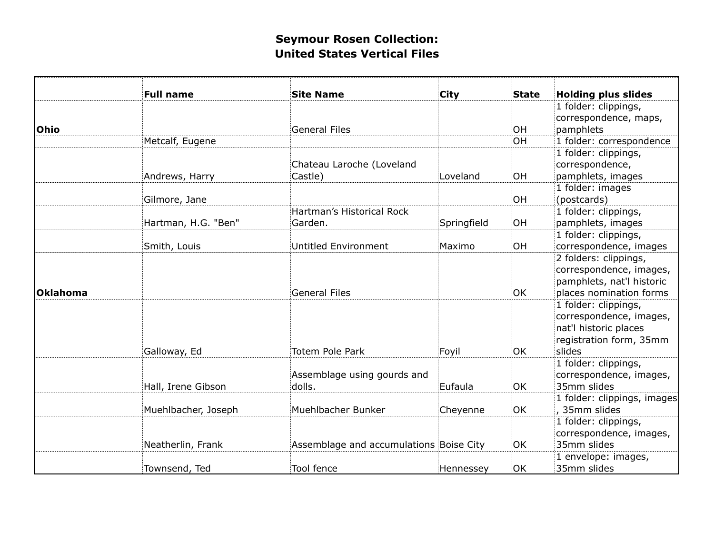|          | <b>Full name</b>    | <b>Site Name</b>                        | <b>City</b> | <b>State</b> | <b>Holding plus slides</b>  |
|----------|---------------------|-----------------------------------------|-------------|--------------|-----------------------------|
|          |                     |                                         |             |              | 1 folder: clippings,        |
|          |                     |                                         |             |              | correspondence, maps,       |
| Ohio     |                     | <b>General Files</b>                    |             | OH           | pamphlets                   |
|          | Metcalf, Eugene     |                                         |             | <b>OH</b>    | 1 folder: correspondence    |
|          |                     |                                         |             |              | 1 folder: clippings,        |
|          |                     | Chateau Laroche (Loveland               |             |              | correspondence,             |
|          | Andrews, Harry      | Castle)                                 | Loveland    | OH           | pamphlets, images           |
|          |                     |                                         |             |              | 1 folder: images            |
|          | Gilmore, Jane       |                                         |             | OH           | (postcards)                 |
|          |                     | Hartman's Historical Rock               |             |              | 1 folder: clippings,        |
|          | Hartman, H.G. "Ben" | Garden.                                 | Springfield | <b>OH</b>    | pamphlets, images           |
|          |                     |                                         |             |              | 1 folder: clippings,        |
|          | Smith, Louis        | <b>Untitled Environment</b>             | Maximo      | OH           | correspondence, images      |
|          |                     |                                         |             |              | 2 folders: clippings,       |
|          |                     |                                         |             |              | correspondence, images,     |
|          |                     |                                         |             |              | pamphlets, nat'l historic   |
| Oklahoma |                     | <b>General Files</b>                    |             | <b>OK</b>    | places nomination forms     |
|          |                     |                                         |             |              | 1 folder: clippings,        |
|          |                     |                                         |             |              | correspondence, images,     |
|          |                     |                                         |             |              | nat'l historic places       |
|          |                     |                                         |             |              | registration form, 35mm     |
|          | Galloway, Ed        | <b>Totem Pole Park</b>                  | Foyil       | OK           | slides                      |
|          |                     |                                         |             |              | 1 folder: clippings,        |
|          |                     | Assemblage using gourds and             |             |              | correspondence, images,     |
|          | Hall, Irene Gibson  | dolls.                                  | Eufaula     | <b>OK</b>    | 35mm slides                 |
|          |                     |                                         |             |              | 1 folder: clippings, images |
|          | Muehlbacher, Joseph | Muehlbacher Bunker                      | Cheyenne    | OK           | , 35mm slides               |
|          |                     |                                         |             |              | 1 folder: clippings,        |
|          |                     |                                         |             |              | correspondence, images,     |
|          | Neatherlin, Frank   | Assemblage and accumulations Boise City |             | OK           | 35mm slides                 |
|          |                     |                                         |             |              | 1 envelope: images,         |
|          | Townsend, Ted       | Tool fence                              | Hennessey   | <b>OK</b>    | 35mm slides                 |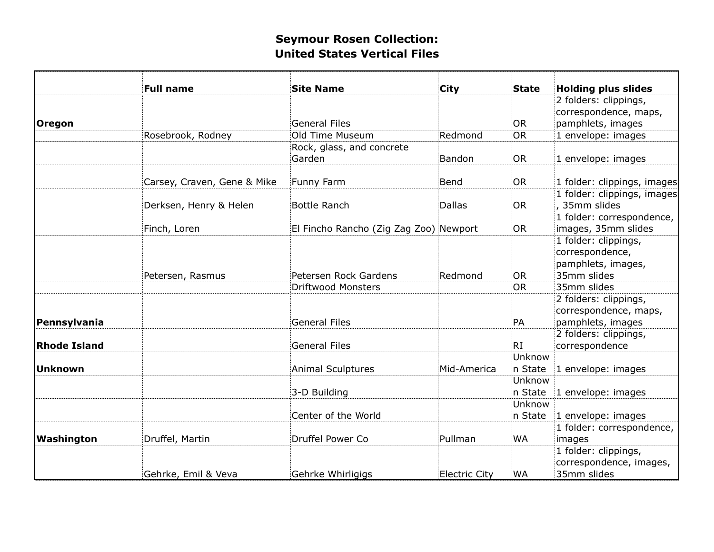|                     | <b>Full name</b>            | <b>Site Name</b>                       | City                 | <b>State</b> | <b>Holding plus slides</b>  |
|---------------------|-----------------------------|----------------------------------------|----------------------|--------------|-----------------------------|
|                     |                             |                                        |                      |              | 2 folders: clippings,       |
|                     |                             |                                        |                      |              | correspondence, maps,       |
| Oregon              |                             | <b>General Files</b>                   |                      | OR           | pamphlets, images           |
|                     | Rosebrook, Rodney           | Old Time Museum                        | Redmond              | <b>OR</b>    | 1 envelope: images          |
|                     |                             | Rock, glass, and concrete              |                      |              |                             |
|                     |                             | Garden                                 | Bandon               | <b>OR</b>    | 1 envelope: images          |
|                     |                             |                                        |                      |              |                             |
|                     | Carsey, Craven, Gene & Mike | Funny Farm                             | Bend                 | <b>OR</b>    | 1 folder: clippings, images |
|                     |                             |                                        |                      |              | 1 folder: clippings, images |
|                     | Derksen, Henry & Helen      | <b>Bottle Ranch</b>                    | <b>Dallas</b>        | <b>OR</b>    | .35mm slides                |
|                     |                             |                                        |                      |              | 1 folder: correspondence,   |
|                     | Finch, Loren                | El Fincho Rancho (Zig Zag Zoo) Newport |                      | <b>OR</b>    | images, 35mm slides         |
|                     |                             |                                        |                      |              | 1 folder: clippings,        |
|                     |                             |                                        |                      |              | correspondence,             |
|                     |                             |                                        |                      |              | pamphlets, images,          |
|                     | Petersen, Rasmus            | Petersen Rock Gardens                  | Redmond              | <b>OR</b>    | 35mm slides                 |
|                     |                             | <b>Driftwood Monsters</b>              |                      | <b>OR</b>    | 35mm slides                 |
|                     |                             |                                        |                      |              | 2 folders: clippings,       |
|                     |                             |                                        |                      |              | correspondence, maps,       |
| Pennsylvania        |                             | <b>General Files</b>                   |                      | PA           | pamphlets, images           |
|                     |                             |                                        |                      |              | 2 folders: clippings,       |
| <b>Rhode Island</b> |                             | <b>General Files</b>                   |                      | RI           | correspondence              |
|                     |                             |                                        |                      | Unknow       |                             |
| <b>Unknown</b>      |                             | <b>Animal Sculptures</b>               | Mid-America          | n State      | 1 envelope: images          |
|                     |                             |                                        |                      | Unknow       |                             |
|                     |                             | 3-D Building                           |                      | n State      | 1 envelope: images          |
|                     |                             |                                        |                      | Unknow       |                             |
|                     |                             | Center of the World                    |                      | n State      | 1 envelope: images          |
|                     |                             |                                        |                      |              | 1 folder: correspondence,   |
| Washington          | Druffel, Martin             | Druffel Power Co                       | Pullman              | WA           | images                      |
|                     |                             |                                        |                      |              | 1 folder: clippings,        |
|                     |                             |                                        |                      |              |                             |
|                     |                             |                                        |                      |              | correspondence, images,     |
|                     | Gehrke, Emil & Veva         | Gehrke Whirligigs                      | <b>Electric City</b> | <b>WA</b>    | 35mm slides                 |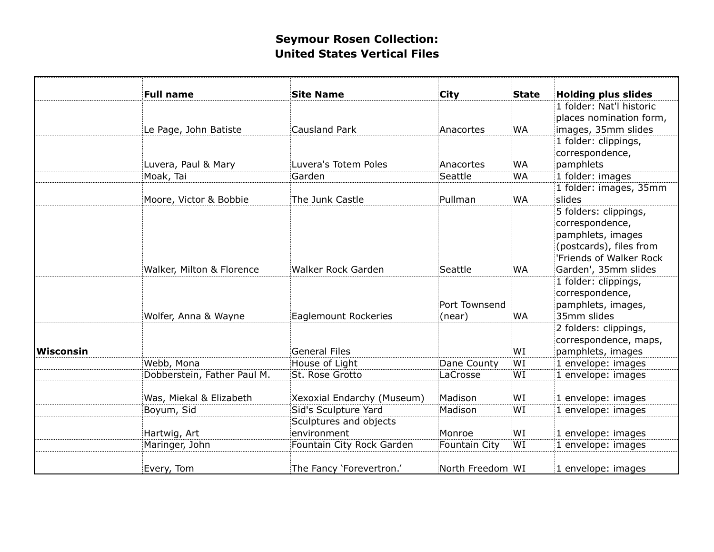|           | <b>Full name</b>            | <b>Site Name</b>            | <b>City</b>          | <b>State</b> | <b>Holding plus slides</b>              |
|-----------|-----------------------------|-----------------------------|----------------------|--------------|-----------------------------------------|
|           |                             |                             |                      |              | 1 folder: Nat'l historic                |
|           |                             |                             |                      |              | places nomination form,                 |
|           | Le Page, John Batiste       | Causland Park               | Anacortes            | <b>WA</b>    | images, 35mm slides                     |
|           |                             |                             |                      |              | 1 folder: clippings,                    |
|           |                             |                             |                      |              | correspondence,                         |
|           | Luvera, Paul & Mary         | Luvera's Totem Poles        | Anacortes            | <b>WA</b>    | pamphlets                               |
|           | Moak, Tai                   | Garden                      | Seattle              | <b>WA</b>    | 1 folder: images                        |
|           |                             |                             |                      |              | 1 folder: images, 35mm                  |
|           | Moore, Victor & Bobbie      | The Junk Castle             | Pullman              | <b>WA</b>    | slides                                  |
|           |                             |                             |                      |              | 5 folders: clippings,                   |
|           |                             |                             |                      |              | correspondence,                         |
|           |                             |                             |                      |              | pamphlets, images                       |
|           |                             |                             |                      |              | (postcards), files from                 |
|           |                             |                             |                      |              | 'Friends of Walker Rock                 |
|           | Walker, Milton & Florence   | <b>Walker Rock Garden</b>   | Seattle              | <b>WA</b>    | Garden', 35mm slides                    |
|           |                             |                             |                      |              | 1 folder: clippings,                    |
|           |                             |                             |                      |              | correspondence,                         |
|           |                             |                             | Port Townsend        |              | pamphlets, images,                      |
|           | Wolfer, Anna & Wayne        | <b>Eaglemount Rockeries</b> | (near)               | <b>WA</b>    | 35mm slides                             |
|           |                             |                             |                      |              | 2 folders: clippings,                   |
|           |                             | General Files               |                      | WI           | correspondence, maps,                   |
| Wisconsin | Webb, Mona                  | House of Light              | Dane County          | WI           | pamphlets, images<br>1 envelope: images |
|           | Dobberstein, Father Paul M. | St. Rose Grotto             | LaCrosse             | WI           | 1 envelope: images                      |
|           |                             |                             |                      |              |                                         |
|           | Was, Miekal & Elizabeth     | Xexoxial Endarchy (Museum)  | Madison              | WI           | 1 envelope: images                      |
|           | Boyum, Sid                  | Sid's Sculpture Yard        | Madison              | WI           | 1 envelope: images                      |
|           |                             | Sculptures and objects      |                      |              |                                         |
|           | Hartwig, Art                | environment                 | Monroe               | WI           | 1 envelope: images                      |
|           | Maringer, John              | Fountain City Rock Garden   | <b>Fountain City</b> | WI           | 1 envelope: images                      |
|           | Every, Tom                  | The Fancy 'Forevertron.'    | North Freedom WI     |              | 1 envelope: images                      |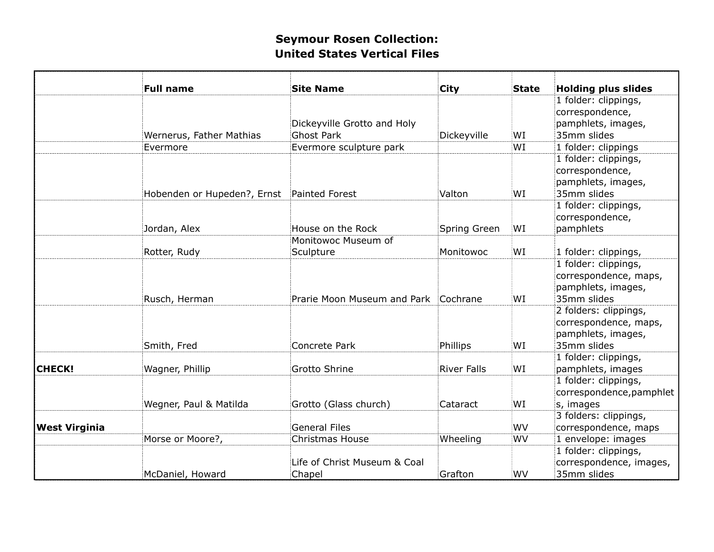|                          |                                                                          |                                                                                                                                                           |                                                                                                      | <b>Holding plus slides</b>                                                          |
|--------------------------|--------------------------------------------------------------------------|-----------------------------------------------------------------------------------------------------------------------------------------------------------|------------------------------------------------------------------------------------------------------|-------------------------------------------------------------------------------------|
|                          |                                                                          |                                                                                                                                                           |                                                                                                      | 1 folder: clippings,                                                                |
|                          |                                                                          |                                                                                                                                                           |                                                                                                      | correspondence,                                                                     |
|                          |                                                                          |                                                                                                                                                           |                                                                                                      | pamphlets, images,                                                                  |
| Wernerus, Father Mathias | <b>Ghost Park</b>                                                        | Dickeyville                                                                                                                                               | WI                                                                                                   | 35mm slides                                                                         |
| Evermore                 | Evermore sculpture park                                                  |                                                                                                                                                           | WI                                                                                                   | 1 folder: clippings                                                                 |
|                          |                                                                          |                                                                                                                                                           |                                                                                                      | 1 folder: clippings,<br>correspondence,<br>pamphlets, images,<br>35mm slides        |
|                          |                                                                          |                                                                                                                                                           |                                                                                                      | 1 folder: clippings,                                                                |
|                          | House on the Rock                                                        |                                                                                                                                                           | WI                                                                                                   | correspondence,<br>pamphlets                                                        |
|                          | Monitowoc Museum of                                                      |                                                                                                                                                           |                                                                                                      |                                                                                     |
| Rotter, Rudy             | Sculpture                                                                | Monitowoc                                                                                                                                                 | WI                                                                                                   | 1 folder: clippings,                                                                |
| Rusch, Herman            |                                                                          |                                                                                                                                                           | WI                                                                                                   | 1 folder: clippings,<br>correspondence, maps,<br>pamphlets, images,<br>35mm slides  |
| Smith, Fred              | Concrete Park                                                            | Phillips                                                                                                                                                  | WI                                                                                                   | 2 folders: clippings,<br>correspondence, maps,<br>pamphlets, images,<br>35mm slides |
|                          |                                                                          |                                                                                                                                                           |                                                                                                      | 1 folder: clippings,                                                                |
| Wagner, Phillip          | Grotto Shrine                                                            | <b>River Falls</b>                                                                                                                                        | WI                                                                                                   | pamphlets, images                                                                   |
| Wegner, Paul & Matilda   | Grotto (Glass church)                                                    | Cataract                                                                                                                                                  | WI                                                                                                   | 1 folder: clippings,<br>correspondence, pamphlet<br>s, images                       |
|                          |                                                                          |                                                                                                                                                           |                                                                                                      | 3 folders: clippings,                                                               |
|                          |                                                                          |                                                                                                                                                           |                                                                                                      | correspondence, maps                                                                |
|                          |                                                                          |                                                                                                                                                           |                                                                                                      | 1 envelope: images                                                                  |
|                          | Life of Christ Museum & Coal                                             |                                                                                                                                                           |                                                                                                      | 1 folder: clippings,<br>correspondence, images,<br>35mm slides                      |
|                          | <b>Full name</b><br>Jordan, Alex<br>Morse or Moore?,<br>McDaniel, Howard | <b>Site Name</b><br>Dickeyville Grotto and Holy<br>Hobenden or Hupeden?, Ernst Painted Forest<br><b>General Files</b><br><b>Christmas House</b><br>Chapel | <b>City</b><br>Valton<br>Spring Green<br>Prarie Moon Museum and Park Cochrane<br>Wheeling<br>Grafton | State<br>WI<br>WV<br>WV<br>WV                                                       |